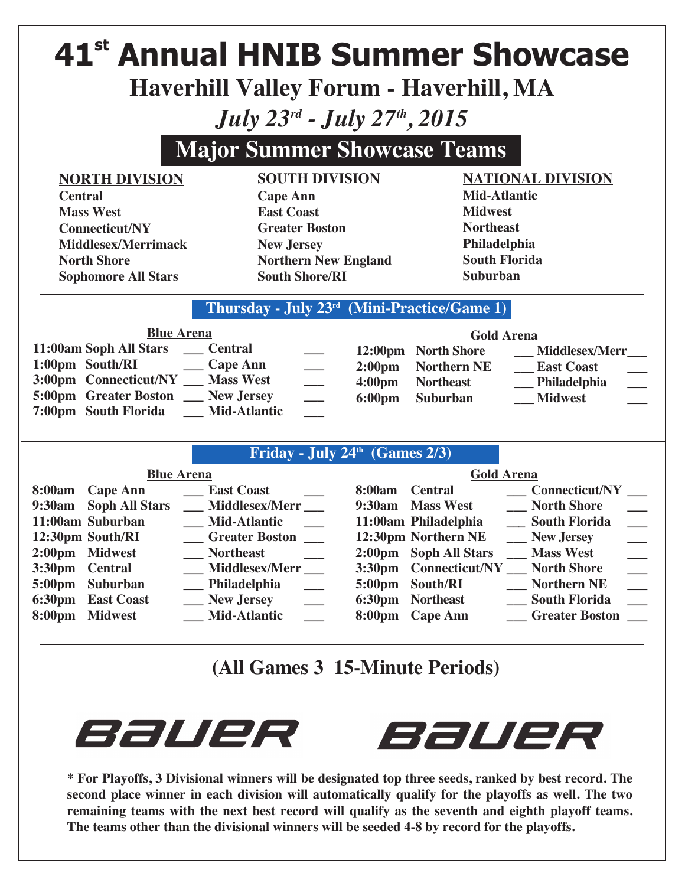# **41st Annual HNIB Summer Showcase**

**Haverhill Valley Forum - Haverhill, MA**

*July 23rd - July 27th , 2015*

**Major Summer Showcase Teams**

#### **NORTH DIVISION**

**Central Mass West Connecticut/NY Middlesex/Merrimack North Shore Sophomore All Stars**

#### **SOUTH DIVISION**

**Cape Ann East Coast Greater Boston New Jersey Northern New England South Shore/RI**

### **NATIONAL DIVISION**

**Mid-Atlantic Midwest Northeast Philadelphia South Florida Suburban**

## **Thursday - July 23rd (Mini-Practice/Game 1)**

| <b>Blue Arena</b>                                                                                                                                                                                                  | <b>Gold Arena</b>                                    |  |                                                                                  |                                                                             |                                                                       |
|--------------------------------------------------------------------------------------------------------------------------------------------------------------------------------------------------------------------|------------------------------------------------------|--|----------------------------------------------------------------------------------|-----------------------------------------------------------------------------|-----------------------------------------------------------------------|
| 11:00am Soph All Stars<br><b>Central</b><br>1:00pm South/RI<br>$\qquad \qquad \textbf{Cape Ann}$<br>3:00pm Connecticut/NY __ Mass West<br>5:00pm Greater Boston<br>New Jersey<br>7:00pm South Florida Mid-Atlantic | $\overline{\phantom{0}}$<br>$\overline{\phantom{0}}$ |  | 12:00pm North Shore<br>2:00pm Northern NE<br>4:00pm Northeast<br>6:00pm Suburban | ___ Middlesex/Merr___<br><b>East Coast</b><br>__ Philadelphia<br>__ Midwest | $\overline{\phantom{a}}$<br>$\frac{1}{1}$<br>$\overline{\phantom{0}}$ |
|                                                                                                                                                                                                                    |                                                      |  |                                                                                  |                                                                             |                                                                       |

| <b>Blue Arena</b> |                       | <b>Gold Arena</b>                                                                                                                                                                                                                    |                                     |                                       |
|-------------------|-----------------------|--------------------------------------------------------------------------------------------------------------------------------------------------------------------------------------------------------------------------------------|-------------------------------------|---------------------------------------|
|                   | 8:00am Cape Ann       | <b>East Coast</b>                                                                                                                                                                                                                    | 8:00am Central                      | Connecticut/NY                        |
|                   | 9:30am Soph All Stars | <b>Middlesex/Merr</b>                                                                                                                                                                                                                | 9:30am Mass West                    | North Shore                           |
|                   | 11:00am Suburban      | <b>Mid-Atlantic</b>                                                                                                                                                                                                                  | 11:00am Philadelphia                | South Florida                         |
|                   | 12:30pm South/RI      | <b>Second Second Second Second Second Second Second Second Second Second Second Second Second Second Second Second Second Second Second Second Second Second Second Second Second Second Second Second Second Second Second Seco</b> | 12:30pm Northern NE ____ New Jersey | $\frac{1}{2}$                         |
|                   | 2:00pm Midwest        | <b>Northeast</b>                                                                                                                                                                                                                     | 2:00pm Soph All Stars               | Mass West<br>$\overline{\phantom{a}}$ |
|                   | 3:30pm Central        | <b>Middlesex/Merr</b>                                                                                                                                                                                                                | 3:30pm Connecticut/NY North Shore   |                                       |
|                   | 5:00pm Suburban       | __ Philadelphia<br>$\overline{\phantom{0}}$                                                                                                                                                                                          | 5:00pm South/RI                     | Northern NE<br>$\frac{1}{2}$          |
|                   | 6:30pm East Coast     | ___ New Jersey<br>$\frac{1}{1}$                                                                                                                                                                                                      | 6:30pm Northeast                    | ___ South Florida<br>$\sim$           |
|                   | 8:00pm Midwest        | <b>Mid-Atlantic</b>                                                                                                                                                                                                                  | 8:00pm Cape Ann                     | <b>Greater Boston</b>                 |

# **(All Games 3 15-Minute Periods)**





**\* For Playoffs, 3 Divisional winners will be designated top three seeds, ranked by best record. The second place winner in each division will automatically qualify for the playoffs as well. The two remaining teams with the next best record will qualify as the seventh and eighth playoff teams. The teams other than the divisional winners will be seeded 4-8 by record for the playoffs.**